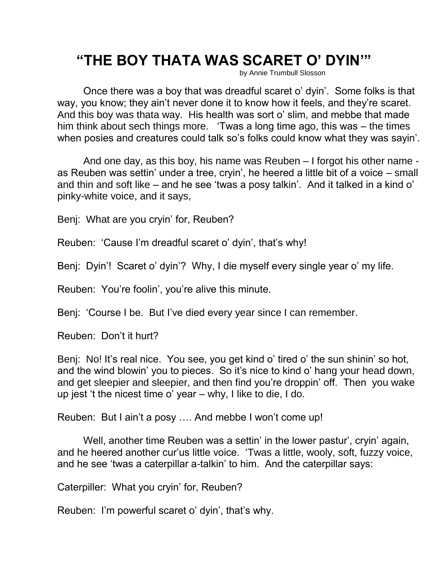## **"THE BOY THATA WAS SCARET O' DYIN'"**

by Annie Trumbull Slosson

Once there was a boy that was dreadful scaret o' dyin'. Some folks is that way, you know; they ain't never done it to know how it feels, and they're scaret. And this boy was thata way. His health was sort o' slim, and mebbe that made him think about sech things more. 'Twas a long time ago, this was – the times when posies and creatures could talk so's folks could know what they was sayin'.

And one day, as this boy, his name was Reuben – I forgot his other name as Reuben was settin' under a tree, cryin', he heered a little bit of a voice – small and thin and soft like – and he see 'twas a posy talkin'. And it talked in a kind o' pinky-white voice, and it says,

Benj: What are you cryin' for, Reuben?

Reuben: 'Cause I'm dreadful scaret o' dyin', that's why!

Benj: Dyin'! Scaret o' dyin'? Why, I die myself every single year o' my life.

Reuben: You're foolin', you're alive this minute.

Benj: 'Course I be. But I've died every year since I can remember.

Reuben: Don't it hurt?

Benj: No! It's real nice. You see, you get kind o' tired o' the sun shinin' so hot, and the wind blowin' you to pieces. So it's nice to kind o' hang your head down, and get sleepier and sleepier, and then find you're droppin' off. Then you wake up jest 't the nicest time o' year – why, I like to die, I do.

Reuben: But I ain't a posy …. And mebbe I won't come up!

Well, another time Reuben was a settin' in the lower pastur', cryin' again, and he heered another cur'us little voice. 'Twas a little, wooly, soft, fuzzy voice, and he see 'twas a caterpillar a-talkin' to him. And the caterpillar says:

Caterpiller: What you cryin' for, Reuben?

Reuben: I'm powerful scaret o' dyin', that's why.